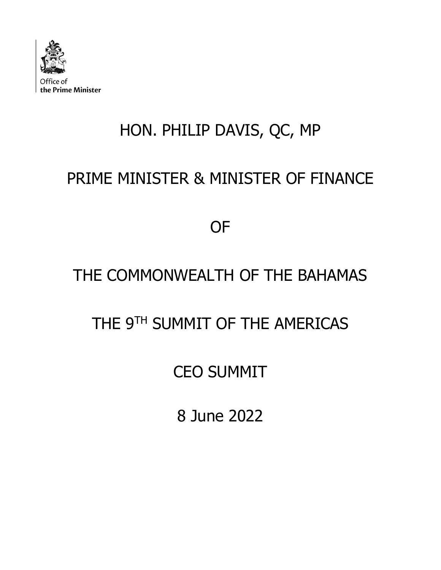

# HON. PHILIP DAVIS, QC, MP

## PRIME MINISTER & MINISTER OF FINANCE

OF

### THE COMMONWEALTH OF THE BAHAMAS

#### THE 9<sup>TH</sup> SUMMIT OF THE AMERICAS

#### CEO SUMMIT

8 June 2022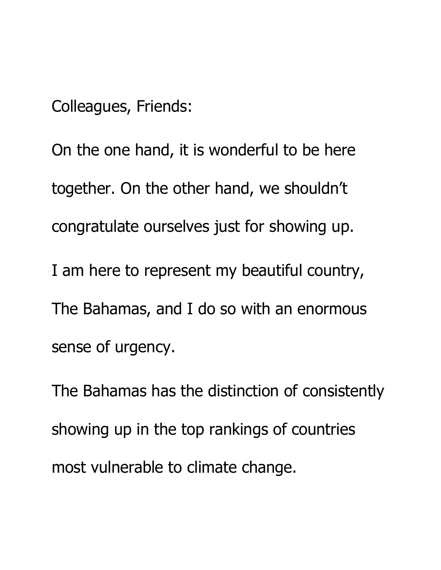Colleagues, Friends:

On the one hand, it is wonderful to be here together. On the other hand, we shouldn't congratulate ourselves just for showing up. I am here to represent my beautiful country, The Bahamas, and I do so with an enormous sense of urgency.

The Bahamas has the distinction of consistently showing up in the top rankings of countries most vulnerable to climate change.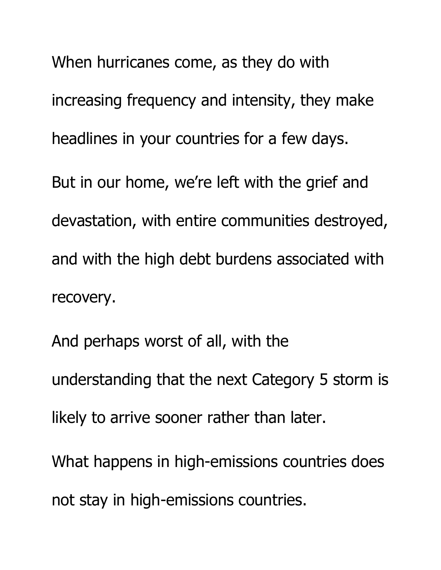When hurricanes come, as they do with increasing frequency and intensity, they make headlines in your countries for a few days. But in our home, we're left with the grief and devastation, with entire communities destroyed, and with the high debt burdens associated with recovery.

And perhaps worst of all, with the understanding that the next Category 5 storm is likely to arrive sooner rather than later.

What happens in high-emissions countries does not stay in high-emissions countries.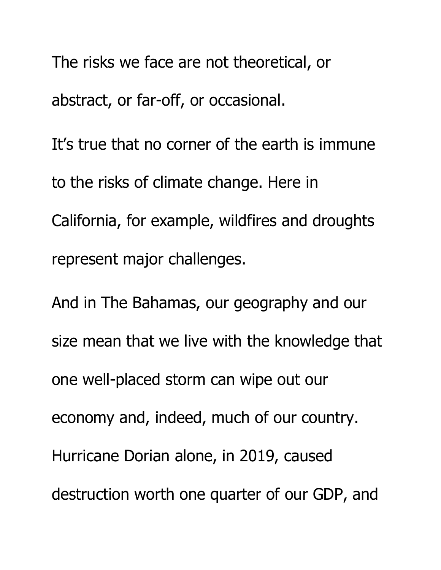The risks we face are not theoretical, or abstract, or far-off, or occasional. It's true that no corner of the earth is immune to the risks of climate change. Here in California, for example, wildfires and droughts represent major challenges.

And in The Bahamas, our geography and our size mean that we live with the knowledge that one well-placed storm can wipe out our economy and, indeed, much of our country. Hurricane Dorian alone, in 2019, caused destruction worth one quarter of our GDP, and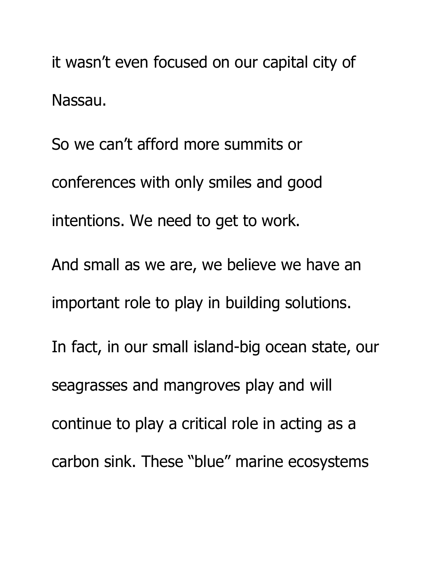it wasn't even focused on our capital city of Nassau.

So we can't afford more summits or conferences with only smiles and good intentions. We need to get to work. And small as we are, we believe we have an important role to play in building solutions. In fact, in our small island-big ocean state, our seagrasses and mangroves play and will continue to play a critical role in acting as a carbon sink. These "blue" marine ecosystems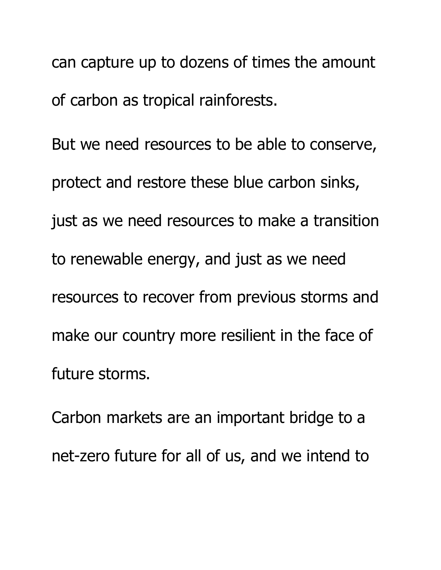can capture up to dozens of times the amount of carbon as tropical rainforests.

But we need resources to be able to conserve, protect and restore these blue carbon sinks, just as we need resources to make a transition to renewable energy, and just as we need resources to recover from previous storms and make our country more resilient in the face of future storms.

Carbon markets are an important bridge to a net-zero future for all of us, and we intend to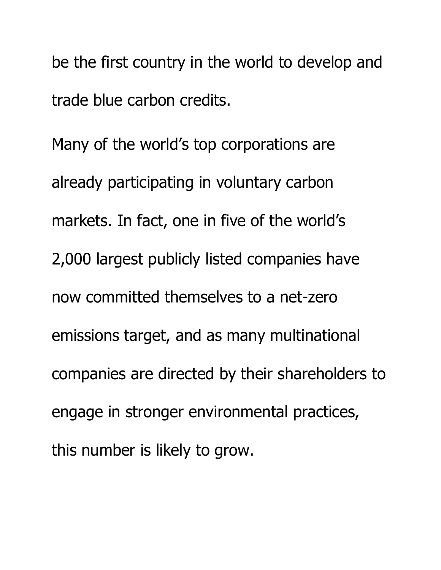be the first country in the world to develop and trade blue carbon credits.

Many of the world's top corporations are already participating in voluntary carbon markets. In fact, one in five of the world's 2,000 largest publicly listed companies have now committed themselves to a net-zero emissions target, and as many multinational companies are directed by their shareholders to engage in stronger environmental practices, this number is likely to grow.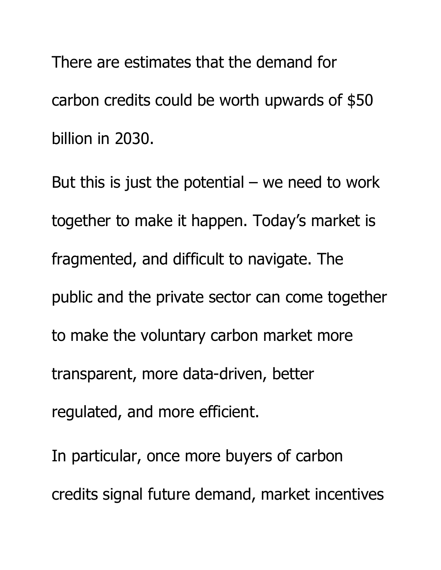There are estimates that the demand for carbon credits could be worth upwards of \$50 billion in 2030.

But this is just the potential  $-$  we need to work together to make it happen. Today's market is fragmented, and difficult to navigate. The public and the private sector can come together to make the voluntary carbon market more transparent, more data-driven, better regulated, and more efficient.

In particular, once more buyers of carbon credits signal future demand, market incentives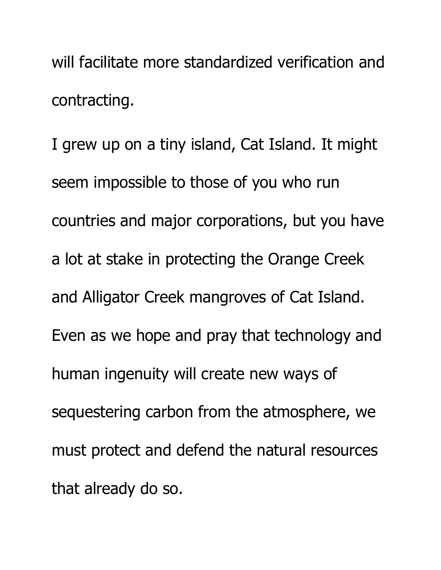will facilitate more standardized verification and contracting.

I grew up on a tiny island, Cat Island. It might seem impossible to those of you who run countries and major corporations, but you have a lot at stake in protecting the Orange Creek and Alligator Creek mangroves of Cat Island. Even as we hope and pray that technology and human ingenuity will create new ways of sequestering carbon from the atmosphere, we must protect and defend the natural resources that already do so.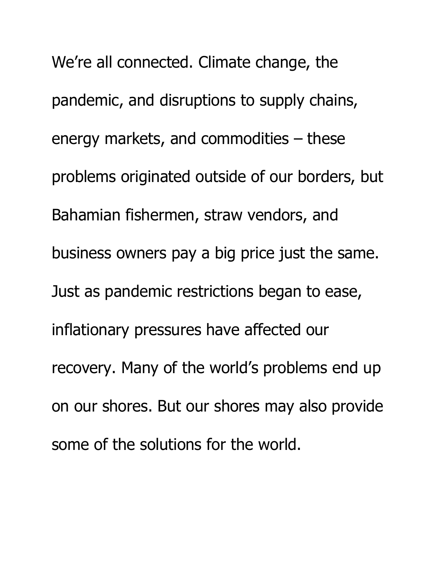We're all connected. Climate change, the pandemic, and disruptions to supply chains, energy markets, and commodities – these problems originated outside of our borders, but Bahamian fishermen, straw vendors, and business owners pay a big price just the same. Just as pandemic restrictions began to ease, inflationary pressures have affected our recovery. Many of the world's problems end up on our shores. But our shores may also provide some of the solutions for the world.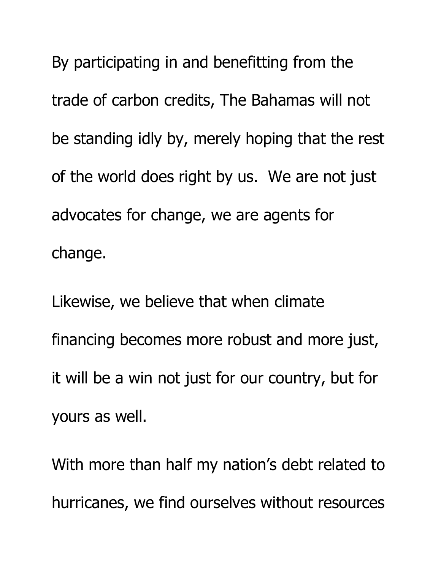By participating in and benefitting from the trade of carbon credits, The Bahamas will not be standing idly by, merely hoping that the rest of the world does right by us. We are not just advocates for change, we are agents for change.

Likewise, we believe that when climate financing becomes more robust and more just, it will be a win not just for our country, but for yours as well.

With more than half my nation's debt related to hurricanes, we find ourselves without resources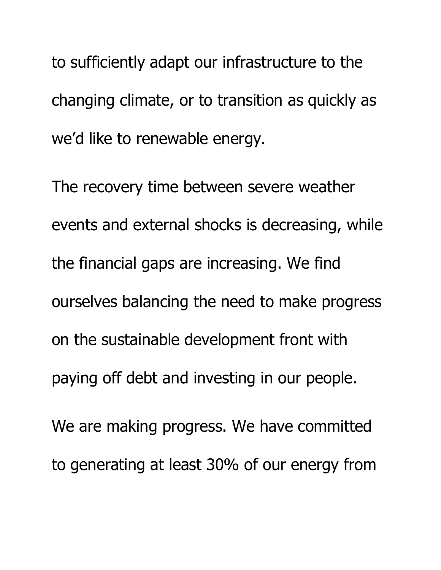to sufficiently adapt our infrastructure to the changing climate, or to transition as quickly as we'd like to renewable energy.

The recovery time between severe weather events and external shocks is decreasing, while the financial gaps are increasing. We find ourselves balancing the need to make progress on the sustainable development front with paying off debt and investing in our people. We are making progress. We have committed to generating at least 30% of our energy from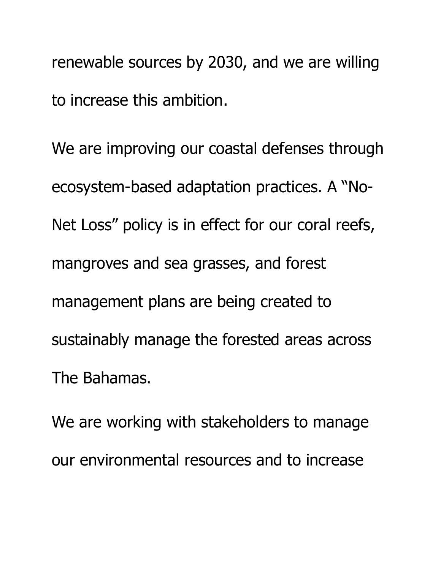renewable sources by 2030, and we are willing to increase this ambition.

We are improving our coastal defenses through ecosystem-based adaptation practices. A "No-Net Loss" policy is in effect for our coral reefs, mangroves and sea grasses, and forest management plans are being created to sustainably manage the forested areas across The Bahamas.

We are working with stakeholders to manage our environmental resources and to increase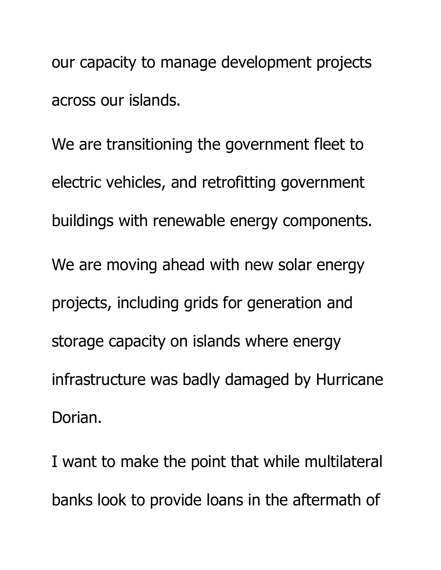our capacity to manage development projects across our islands.

We are transitioning the government fleet to electric vehicles, and retrofitting government buildings with renewable energy components. We are moving ahead with new solar energy projects, including grids for generation and storage capacity on islands where energy infrastructure was badly damaged by Hurricane Dorian.

I want to make the point that while multilateral banks look to provide loans in the aftermath of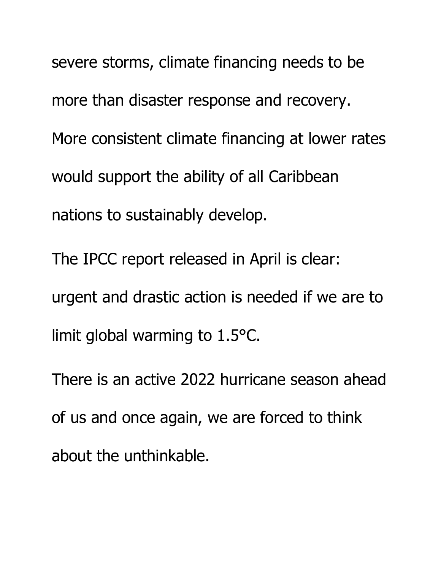severe storms, climate financing needs to be more than disaster response and recovery. More consistent climate financing at lower rates would support the ability of all Caribbean nations to sustainably develop.

The IPCC report released in April is clear: urgent and drastic action is needed if we are to limit global warming to 1.5°C.

There is an active 2022 hurricane season ahead of us and once again, we are forced to think about the unthinkable.